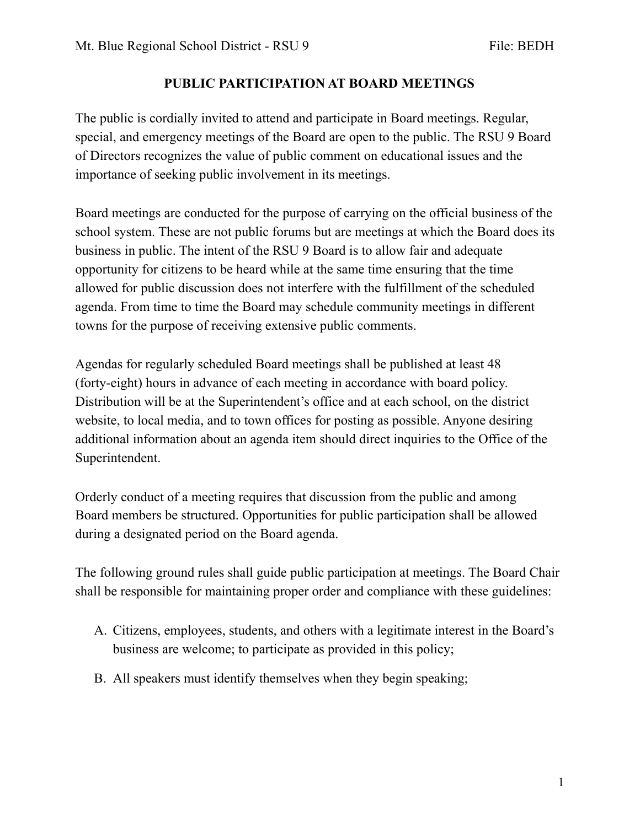## **PUBLIC PARTICIPATION AT BOARD MEETINGS**

The public is cordially invited to attend and participate in Board meetings. Regular, special, and emergency meetings of the Board are open to the public. The RSU 9 Board of Directors recognizes the value of public comment on educational issues and the importance of seeking public involvement in its meetings.

Board meetings are conducted for the purpose of carrying on the official business of the school system. These are not public forums but are meetings at which the Board does its business in public. The intent of the RSU 9 Board is to allow fair and adequate opportunity for citizens to be heard while at the same time ensuring that the time allowed for public discussion does not interfere with the fulfillment of the scheduled agenda. From time to time the Board may schedule community meetings in different towns for the purpose of receiving extensive public comments.

Agendas for regularly scheduled Board meetings shall be published at least 48 (forty-eight) hours in advance of each meeting in accordance with board policy. Distribution will be at the Superintendent's office and at each school, on the district website, to local media, and to town offices for posting as possible. Anyone desiring additional information about an agenda item should direct inquiries to the Office of the Superintendent.

Orderly conduct of a meeting requires that discussion from the public and among Board members be structured. Opportunities for public participation shall be allowed during a designated period on the Board agenda.

The following ground rules shall guide public participation at meetings. The Board Chair shall be responsible for maintaining proper order and compliance with these guidelines:

- A. Citizens, employees, students, and others with a legitimate interest in the Board's business are welcome; to participate as provided in this policy;
- B. All speakers must identify themselves when they begin speaking;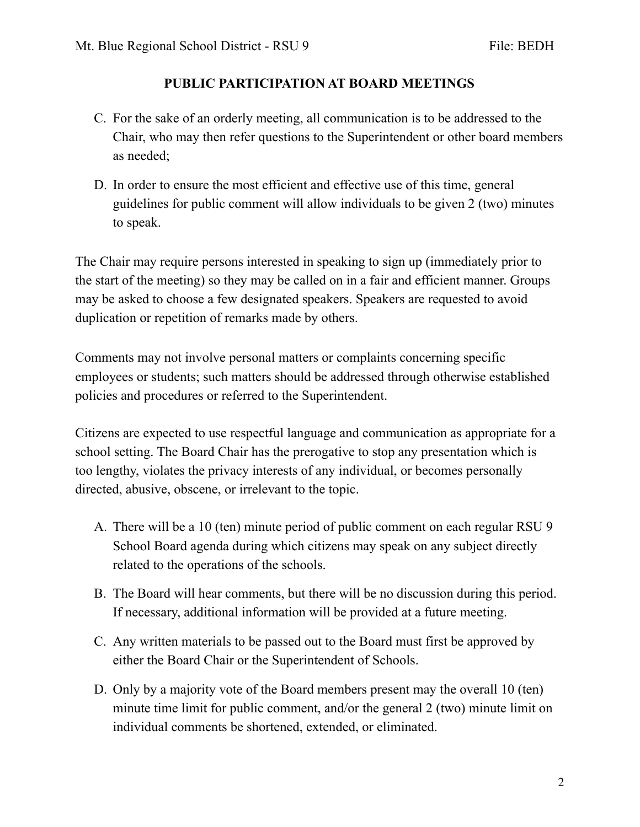## **PUBLIC PARTICIPATION AT BOARD MEETINGS**

- C. For the sake of an orderly meeting, all communication is to be addressed to the Chair, who may then refer questions to the Superintendent or other board members as needed;
- D. In order to ensure the most efficient and effective use of this time, general guidelines for public comment will allow individuals to be given 2 (two) minutes to speak.

The Chair may require persons interested in speaking to sign up (immediately prior to the start of the meeting) so they may be called on in a fair and efficient manner. Groups may be asked to choose a few designated speakers. Speakers are requested to avoid duplication or repetition of remarks made by others.

Comments may not involve personal matters or complaints concerning specific employees or students; such matters should be addressed through otherwise established policies and procedures or referred to the Superintendent.

Citizens are expected to use respectful language and communication as appropriate for a school setting. The Board Chair has the prerogative to stop any presentation which is too lengthy, violates the privacy interests of any individual, or becomes personally directed, abusive, obscene, or irrelevant to the topic.

- A. There will be a 10 (ten) minute period of public comment on each regular RSU 9 School Board agenda during which citizens may speak on any subject directly related to the operations of the schools.
- B. The Board will hear comments, but there will be no discussion during this period. If necessary, additional information will be provided at a future meeting.
- C. Any written materials to be passed out to the Board must first be approved by either the Board Chair or the Superintendent of Schools.
- D. Only by a majority vote of the Board members present may the overall 10 (ten) minute time limit for public comment, and/or the general 2 (two) minute limit on individual comments be shortened, extended, or eliminated.